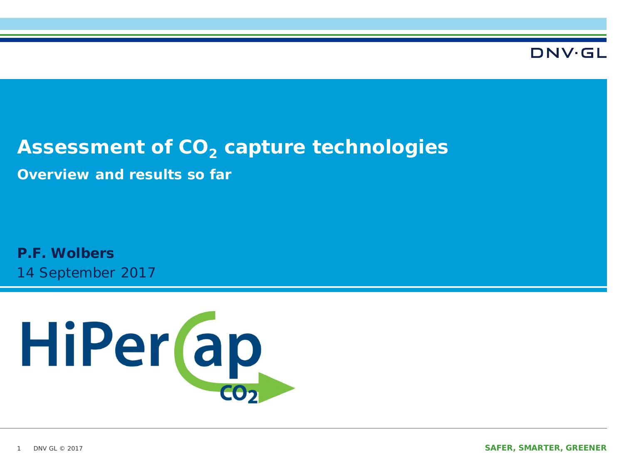#### DNV·GI

## Assessment of CO<sub>2</sub> capture technologies

**Overview and results so far** 

14 September 2017 **P.F. Wolbers**

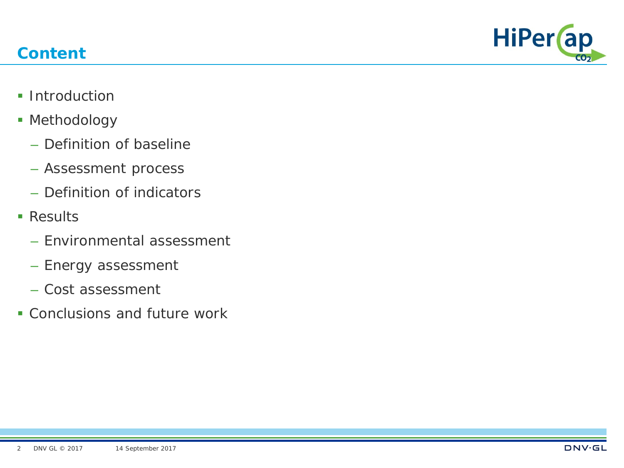## **Content**



- **Introduction**
- **Methodology** 
	- Definition of baseline
	- Assessment process
	- Definition of indicators
- **Results** 
	- Environmental assessment
	- Energy assessment
	- Cost assessment
- Conclusions and future work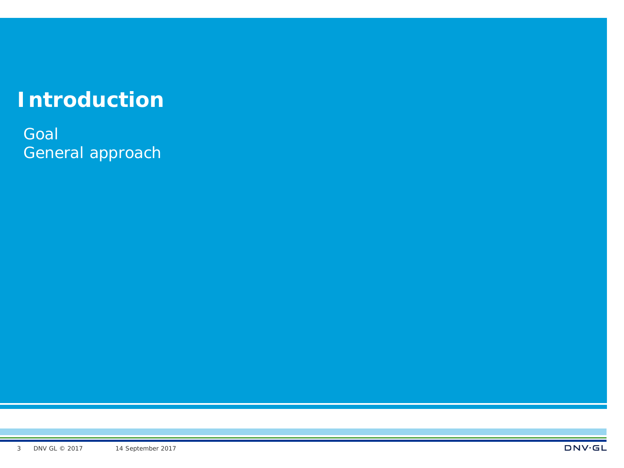# **Introduction**

**Goal** General approach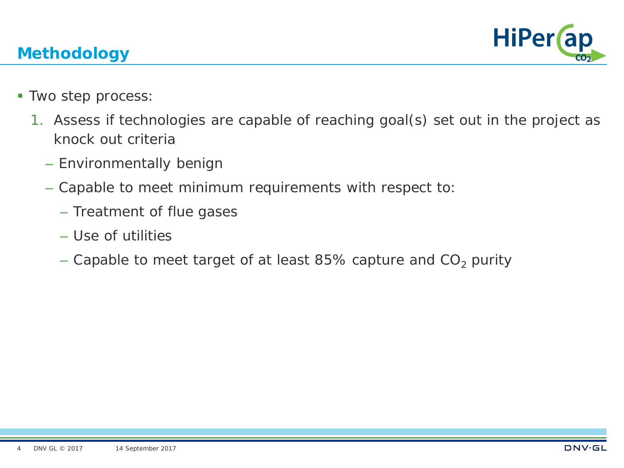#### **Methodology**



- **Two step process:** 
	- 1. Assess if technologies are capable of reaching goal(s) set out in the project as knock out criteria
		- Environmentally benign
		- Capable to meet minimum requirements with respect to:
			- Treatment of flue gases
			- Use of utilities
			- Capable to meet target of at least 85% capture and  $CO<sub>2</sub>$  purity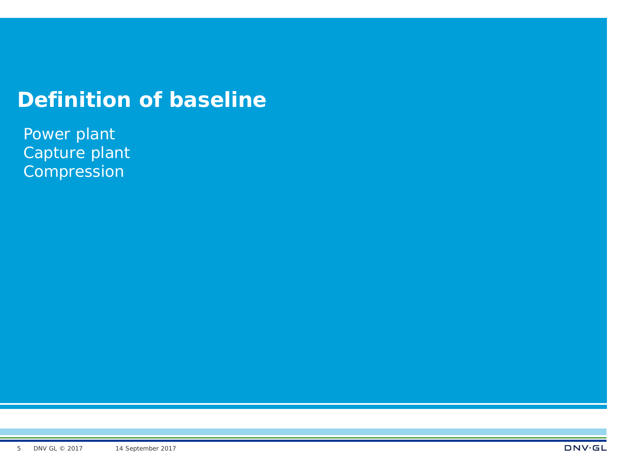## **Definition of baseline**

Power plant Capture plant Compression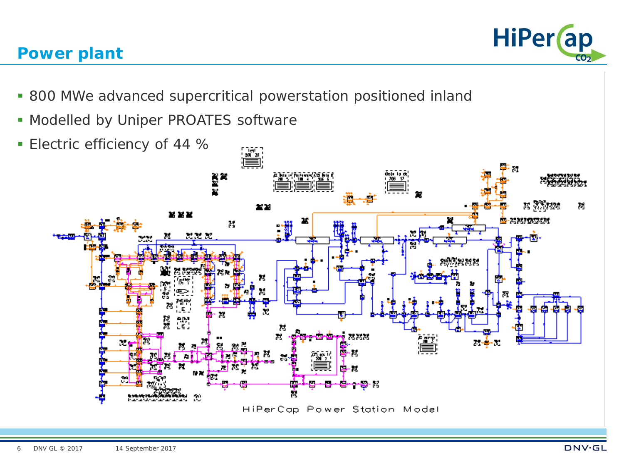#### **Power plant**



- 800 MWe advanced supercritical powerstation positioned inland
- **Modelled by Uniper PROATES software**
- **Electric efficiency of 44 %**

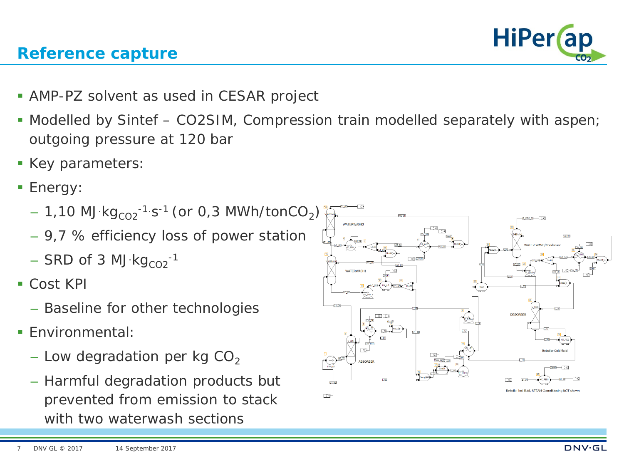#### **Reference capture**

**HiPer** ap

- **AMP-PZ solvent as used in CESAR project**
- Modelled by Sintef CO2SIM, Compression train modelled separately with aspen; outgoing pressure at 120 bar
- Key parameters:
- **Energy:** 
	- $-$  1,10 MJ kg $_{\rm CO2}$ -1 s-1 (or 0,3 MWh/tonCO $_2)$
	- 9,7 % efficiency loss of power station
	- $-$  SRD of 3 MJ  $kg_{CO2}^{-1}$
- Cost KPI
	- Baseline for other technologies
- **F**nvironmental:
	- Low degradation per kg  $CO<sub>2</sub>$
	- Harmful degradation products but prevented from emission to stack with two waterwash sections

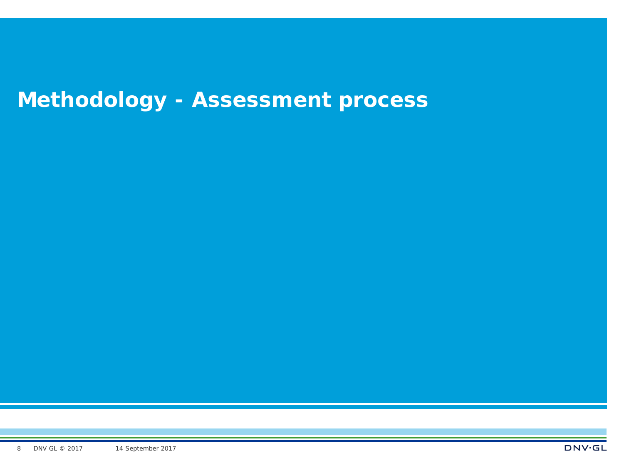# **Methodology - Assessment process**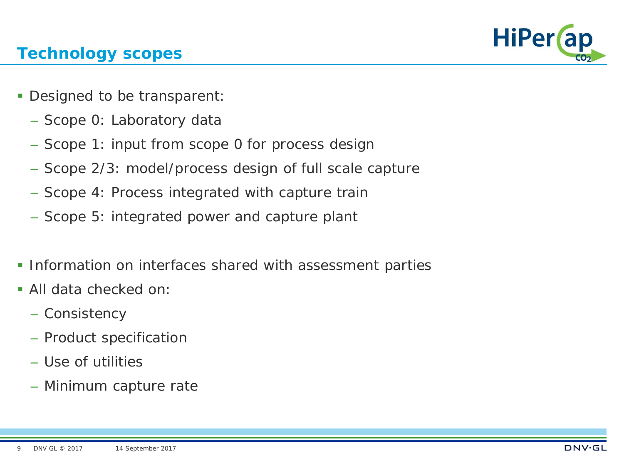

#### **Technology scopes**

- Designed to be transparent:
	- Scope 0: Laboratory data
	- Scope 1: input from scope 0 for process design
	- Scope 2/3: model/process design of full scale capture
	- Scope 4: Process integrated with capture train
	- Scope 5: integrated power and capture plant
- **Information on interfaces shared with assessment parties**
- All data checked on:
	- Consistency
	- Product specification
	- Use of utilities
	- Minimum capture rate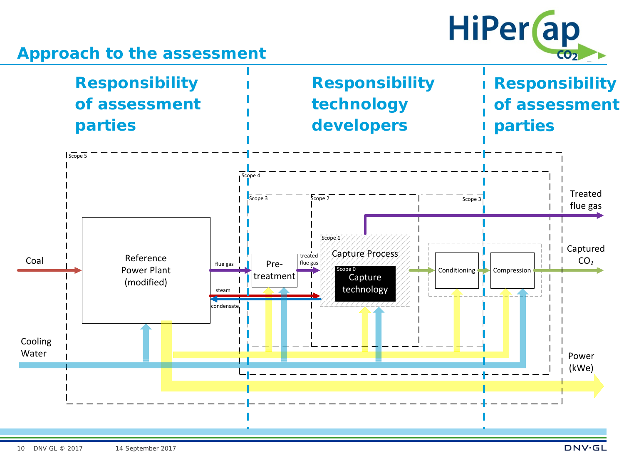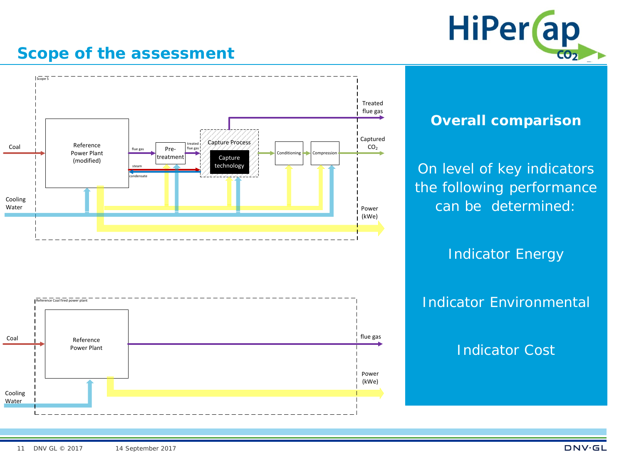

#### **Scope of the assessment**



#### **Overall comparison**

On level of key indicators the following performance can be determined:

Indicator Energy

Indicator Environmental

Indicator Cost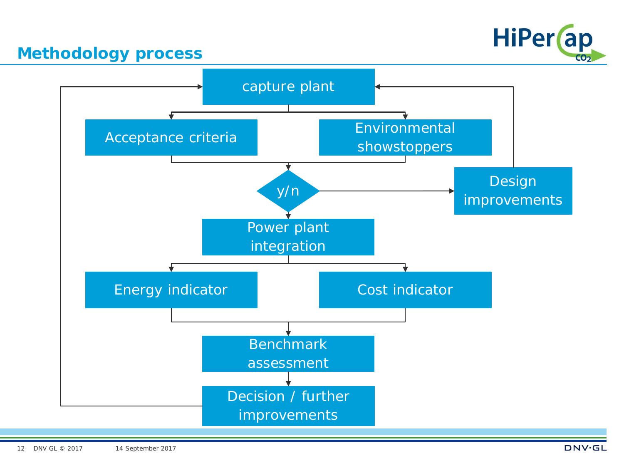

#### **Methodology process**

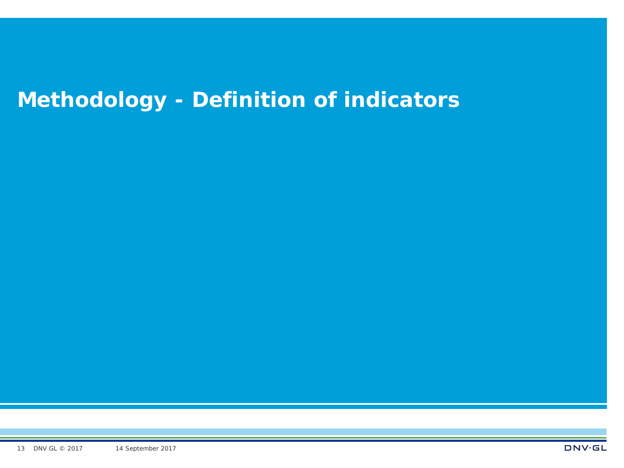# **Methodology - Definition of indicators**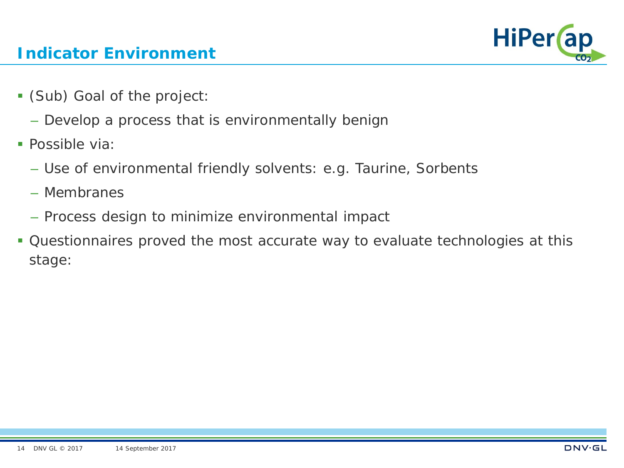

#### **Indicator Environment**

- (Sub) Goal of the project:
	- Develop a process that is environmentally benign
- **Possible via:** 
	- Use of environmental friendly solvents: e.g. Taurine, Sorbents
	- Membranes
	- Process design to minimize environmental impact
- Questionnaires proved the most accurate way to evaluate technologies at this stage: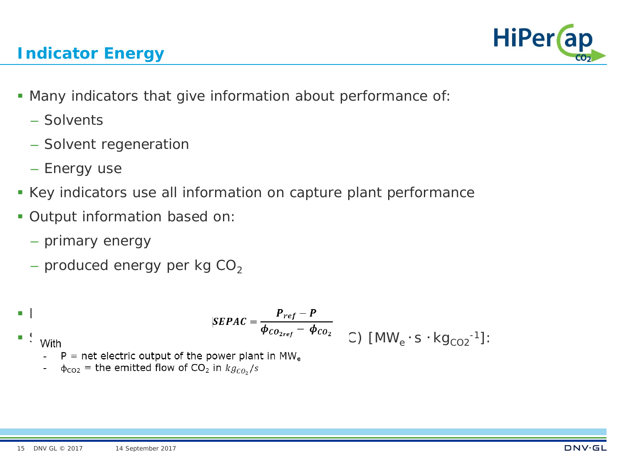

- Many indicators that give information about performance of:
	- Solvents
	- Solvent regeneration
	- Energy use
- Key indicators use all information on capture plant performance
- Output information based on:
	- primary energy
	- produced energy per kg  $CO<sub>2</sub>$

\n
$$
\mathbf{SEPAC} = \frac{\mathbf{P}_{ref} - \mathbf{P}}{\boldsymbol{\phi}_{\text{CO}_{2ref}} - \boldsymbol{\phi}_{\text{CO}_2}} \quad \text{C) } [\text{MW}_e \cdot \text{s} \cdot \text{kg}_{\text{CO}_2}^{-1}].
$$
\n

- - $P =$  net electric output of the power plant in MW<sub>e</sub>
	- $\phi_{\text{CO2}}$  = the emitted flow of CO<sub>2</sub> in  $kg_{CO_2}/s$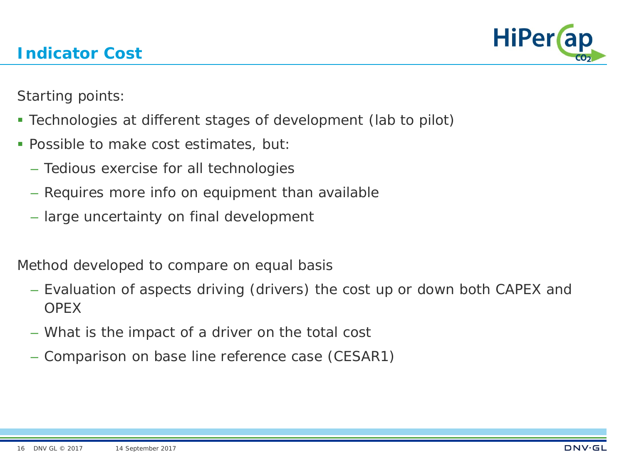

Starting points:

- Technologies at different stages of development (lab to pilot)
- **Possible to make cost estimates, but:** 
	- Tedious exercise for all technologies
	- Requires more info on equipment than available
	- large uncertainty on final development

Method developed to compare on equal basis

- Evaluation of aspects driving (drivers) the cost up or down both CAPEX and **OPEX**
- What is the impact of a driver on the total cost
- Comparison on base line reference case (CESAR1)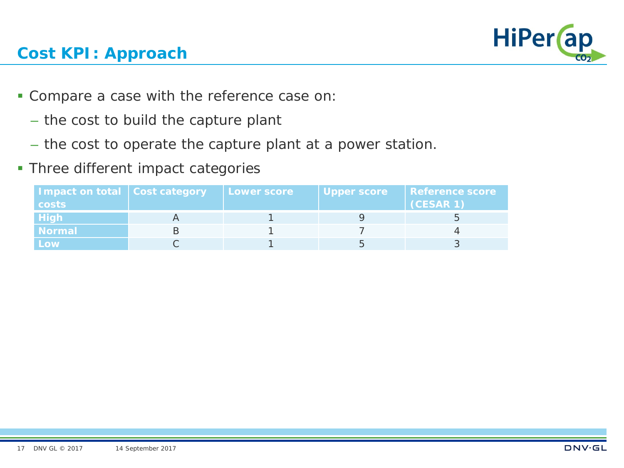

### **Cost KPI: Approach**

- Compare a case with the reference case on:
	- the cost to build the capture plant
	- the cost to operate the capture plant at a power station.
- **Three different impact categories**

| Impact on total Cost category | <b>Lower score</b> | Upper score | <b>Reference score</b> |
|-------------------------------|--------------------|-------------|------------------------|
| costs                         |                    |             | (CESAR 1)              |
| <b>High</b>                   |                    |             |                        |
| <b>Normal</b>                 |                    |             |                        |
| Low                           |                    |             |                        |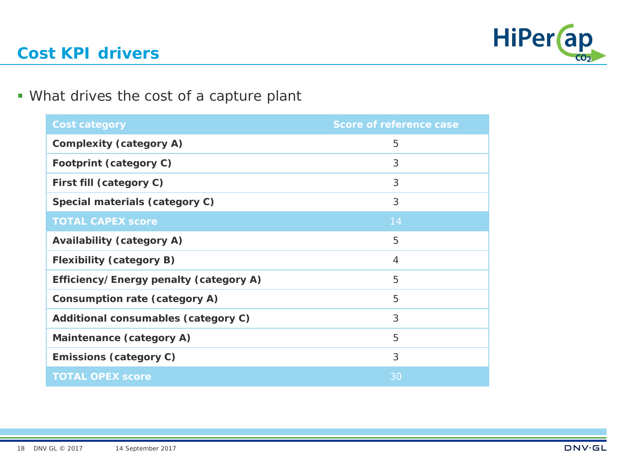

#### **Cost KPI drivers**

#### What drives the cost of a capture plant

| <b>Cost category</b>                   | <b>Score of reference case</b> |
|----------------------------------------|--------------------------------|
| <b>Complexity (category A)</b>         | 5                              |
| Footprint (category C)                 | 3                              |
| First fill (category C)                | 3                              |
| Special materials (category C)         | 3                              |
| <b>TOTAL CAPEX score</b>               | 14                             |
| <b>Availability (category A)</b>       | 5                              |
| <b>Flexibility (category B)</b>        | 4                              |
| Efficiency/Energy penalty (category A) | 5                              |
| Consumption rate (category A)          | 5                              |
| Additional consumables (category C)    | 3                              |
| Maintenance (category A)               | 5                              |
| <b>Emissions (category C)</b>          | 3                              |
| <b>TOTAL OPEX score</b>                | 30                             |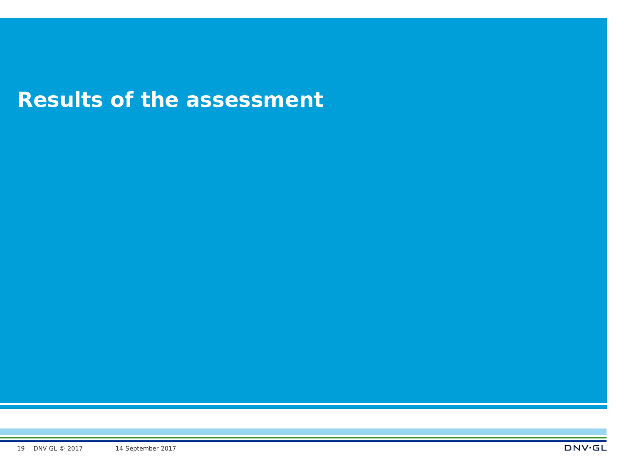## **Results of the assessment**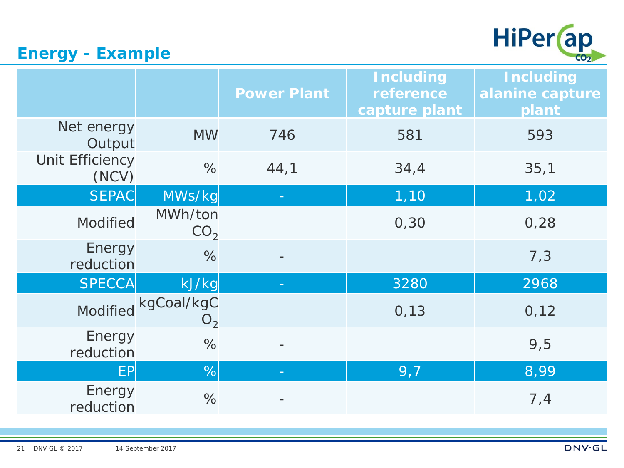

## **Energy - Example**

|                          |                                       | <b>Power Plant</b> | <b>Including</b><br>reference<br>capture plant | <b>Including</b><br>alanine capture<br>plant |
|--------------------------|---------------------------------------|--------------------|------------------------------------------------|----------------------------------------------|
| Net energy<br>Output     | <b>MW</b>                             | 746                | 581                                            | 593                                          |
| Unit Efficiency<br>(NCV) | %                                     | 44,1               | 34,4                                           | 35,1                                         |
| <b>SEPAC</b>             | MWs/kg                                |                    | 1,10                                           | 1,02                                         |
| <b>Modified</b>          | MWh/ton<br>CO <sub>2</sub>            |                    | 0, 30                                          | 0,28                                         |
| Energy<br>reduction      | $\%$                                  |                    |                                                | 7,3                                          |
| <b>SPECCA</b>            | kJ/kg                                 |                    | 3280                                           | 2968                                         |
|                          | Modified kgCoal/kgC<br>O <sub>2</sub> |                    | 0, 13                                          | 0,12                                         |
| Energy<br>reduction      | $\%$                                  |                    |                                                | 9,5                                          |
| <b>EP</b>                | %                                     |                    | 9,7                                            | 8,99                                         |
| Energy<br>reduction      | $\%$                                  |                    |                                                | 7,4                                          |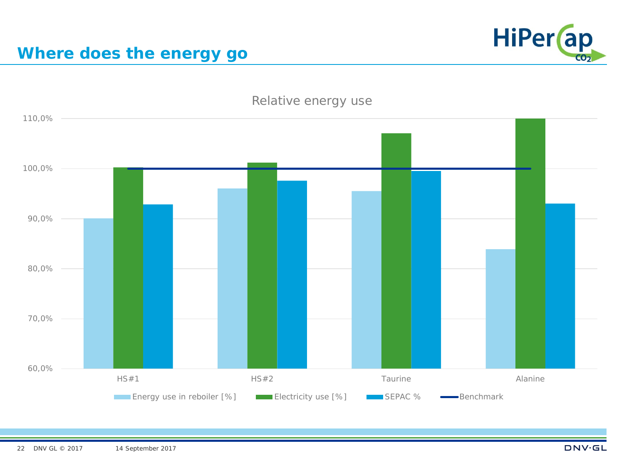

#### **Where does the energy go**

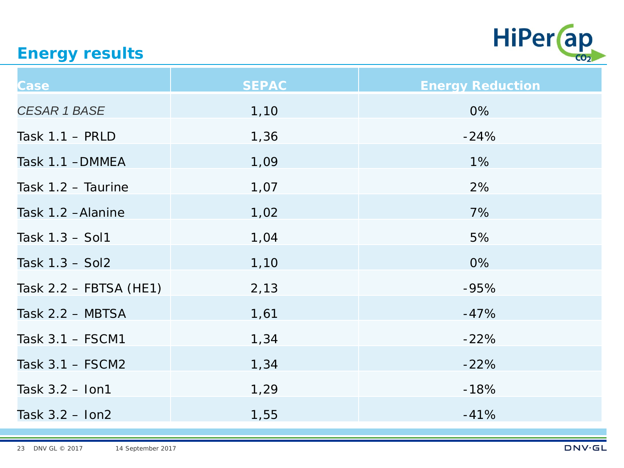

#### **Energy results**

| <b>Case</b>              | <b>SEPAC</b> | <b>Energy Reduction</b> |
|--------------------------|--------------|-------------------------|
| <b>CESAR 1 BASE</b>      | 1,10         | 0%                      |
| Task $1.1 - PRLD$        | 1,36         | $-24%$                  |
| Task 1.1 - DMMEA         | 1,09         | $1\%$                   |
| Task $1.2$ – Taurine     | 1,07         | 2%                      |
| Task 1.2 - Alanine       | 1,02         | 7%                      |
| Task 1.3 - Sol1          | 1,04         | 5%                      |
| Task $1.3 - Sol2$        | 1,10         | 0%                      |
| Task $2.2$ – FBTSA (HE1) | 2,13         | $-95%$                  |
| Task $2.2 - MBTSA$       | 1,61         | $-47%$                  |
| Task $3.1 - FSCM1$       | 1,34         | $-22%$                  |
| Task $3.1 - FSCM2$       | 1,34         | $-22%$                  |
| Task $3.2 -$ lon1        | 1,29         | $-18%$                  |
| Task $3.2 -$ lon2        | 1,55         | $-41%$                  |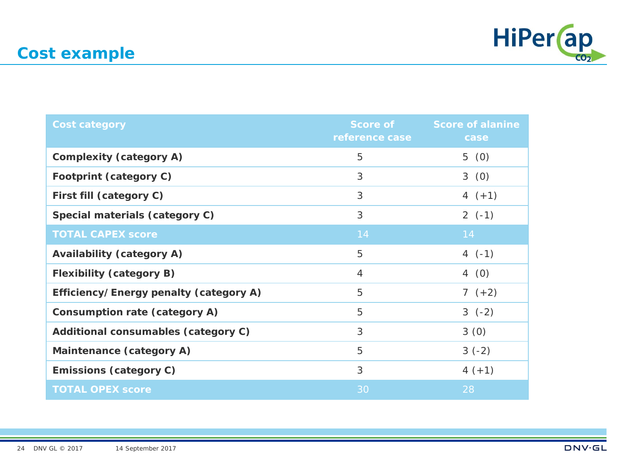

| <b>Cost category</b>                   | reference case | Score of Score of alanine<br>case |
|----------------------------------------|----------------|-----------------------------------|
| <b>Complexity (category A)</b>         | 5              | 5(0)                              |
| Footprint (category C)                 | 3              | 3(0)                              |
| First fill (category C)                | 3              | 4 $(+1)$                          |
| Special materials (category C)         | 3              | $2(-1)$                           |
| <b>TOTAL CAPEX score</b>               | 14             | 14                                |
| <b>Availability (category A)</b>       | 5              | $4(-1)$                           |
| <b>Flexibility (category B)</b>        | $\overline{4}$ | 4(0)                              |
| Efficiency/Energy penalty (category A) | 5              | $7(+2)$                           |
| Consumption rate (category A)          | 5              | $3(-2)$                           |
| Additional consumables (category C)    | 3              | 3(0)                              |
| Maintenance (category A)               | 5              | $3(-2)$                           |
| <b>Emissions (category C)</b>          | 3              | $4 (+1)$                          |
| <b>TOTAL OPEX score</b>                | 30             | 28                                |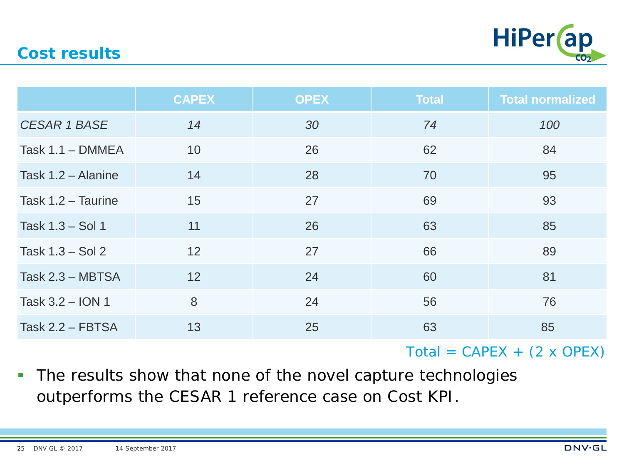

#### **Cost results**

|                     | <b>CAPEX</b> | <b>OPEX</b> | <b>Total</b> | <b>Total normalized</b> |
|---------------------|--------------|-------------|--------------|-------------------------|
| <b>CESAR 1 BASE</b> | 14           | 30          | 74           | 100                     |
| Task $1.1 - DMMEA$  | 10           | 26          | 62           | 84                      |
| Task 1.2 - Alanine  | 14           | 28          | 70           | 95                      |
| Task 1.2 - Taurine  | 15           | 27          | 69           | 93                      |
| Task 1.3 - Sol 1    | 11           | 26          | 63           | 85                      |
| Task $1.3 - Sol 2$  | 12           | 27          | 66           | 89                      |
| Task 2.3 - MBTSA    | 12           | 24          | 60           | 81                      |
| Task 3.2 - ION 1    | 8            | 24          | 56           | 76                      |
| Task $2.2$ – FBTSA  | 13           | 25          | 63           | 85                      |

 $Total = CAPEX + (2 \times OPEX)$ 

The results show that none of the novel capture technologies outperforms the CESAR 1 reference case on Cost KPI.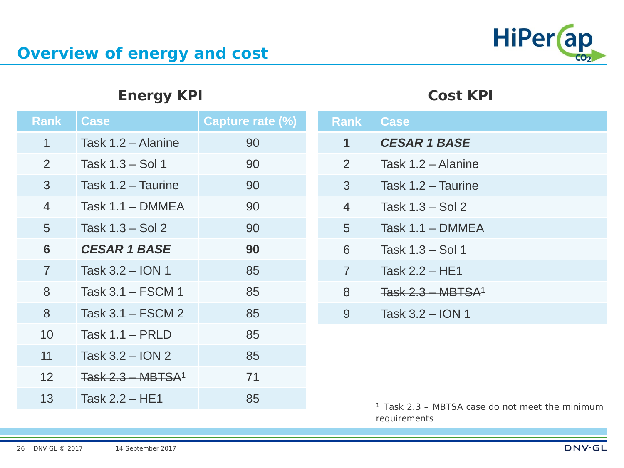#### **Energy KPI**

| <b>Rank</b>    | <b>Case</b>         | Capture rate (%) |
|----------------|---------------------|------------------|
| 1              | Task 1.2 - Alanine  | 90               |
| 2              | Task 1.3 – Sol 1    | 90               |
| 3              | Task 1.2 - Taurine  | 90               |
| $\overline{4}$ | Task $1.1 - DMMEA$  | 90               |
| 5              | Task $1.3 - Sol 2$  | 90               |
| 6              | <b>CESAR 1 BASE</b> | 90               |
| $\overline{7}$ | Task 3.2 - ION 1    | 85               |
| 8              | Task 3.1 – FSCM 1   | 85               |
| 8              | Task 3.1 – FSCM 2   | 85               |
| 10             | Task $1.1 - PRLD$   | 85               |
| 11             | Task 3.2 - ION 2    | 85               |
| 12             | $Task 2.3 - MBTSA1$ | 71               |
| 13             | Task $2.2 - HE1$    | 85               |
|                |                     |                  |

| <b>Rank</b>    | <b>Case</b>         |
|----------------|---------------------|
| 1              | <b>CESAR 1 BASE</b> |
| $\overline{2}$ | Task 1.2 - Alanine  |
| 3              | Task 1.2 - Taurine  |
| $\overline{4}$ | Task $1.3 - Sol 2$  |
| 5              | Task $1.1 - DMMEA$  |
| 6              | Task 1.3 - Sol 1    |
| $\overline{7}$ | Task $2.2 - HE1$    |
| 8              | Task $2.3 - MBTSA1$ |
| 9              | Task 3.2 - ION 1    |

*1 Task 2.3 – MBTSA case do not meet the minimum requirements*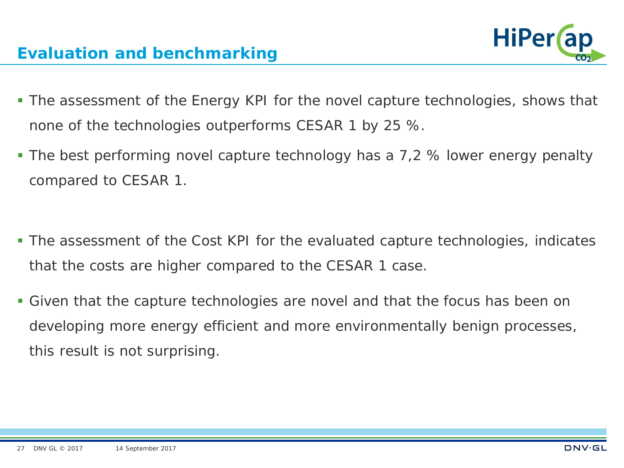- The assessment of the Energy KPI for the novel capture technologies, shows that none of the technologies outperforms CESAR 1 by 25 %.
- The best performing novel capture technology has a 7,2 % lower energy penalty compared to CESAR 1.
- The assessment of the Cost KPI for the evaluated capture technologies, indicates that the costs are higher compared to the CESAR 1 case.
- Given that the capture technologies are novel and that the focus has been on developing more energy efficient and more environmentally benign processes, this result is not surprising.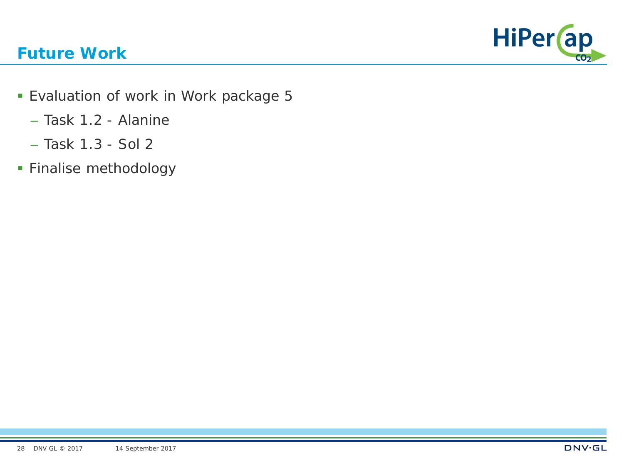# HiPer (ap

#### **Future Work**

- **Evaluation of work in Work package 5** 
	- Task 1.2 Alanine
	- Task 1.3 Sol 2
- **Finalise methodology**